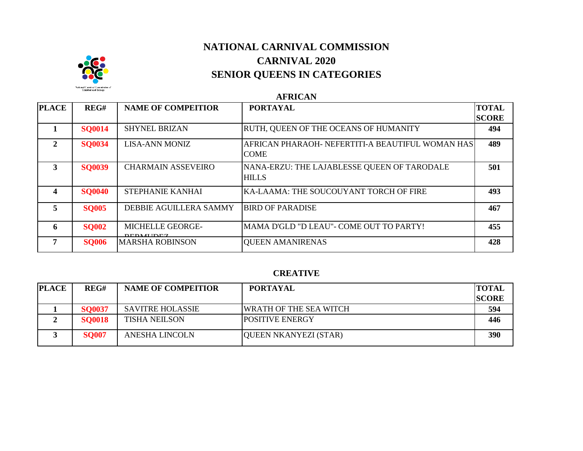

# **NATIONAL CARNIVAL COMMISSION CARNIVAL 2020 SENIOR QUEENS IN CATEGORIES**

**AFRICAN**

| <b>PLACE</b> | REG#          | <b>NAME OF COMPEITIOR</b>            | <b>PORTAYAL</b>                                                 | <b>TOTAL</b><br><b>SCORE</b> |
|--------------|---------------|--------------------------------------|-----------------------------------------------------------------|------------------------------|
|              | <b>SO0014</b> | <b>SHYNEL BRIZAN</b>                 | RUTH, QUEEN OF THE OCEANS OF HUMANITY                           | 494                          |
| $\mathbf{2}$ | <b>SQ0034</b> | <b>LISA-ANN MONIZ</b>                | AFRICAN PHARAOH- NEFERTITI-A BEAUTIFUL WOMAN HAS<br><b>COME</b> | 489                          |
| 3            | <b>SO0039</b> | <b>CHARMAIN ASSEVEIRO</b>            | NANA-ERZU: THE LAJABLESSE QUEEN OF TARODALE<br><b>HILLS</b>     | 501                          |
| 4            | <b>SQ0040</b> | <b>STEPHANIE KANHAI</b>              | KA-LAAMA: THE SOUCOUYANT TORCH OF FIRE                          | 493                          |
| 5            | <b>SO005</b>  | DEBBIE AGUILLERA SAMMY               | <b>BIRD OF PARADISE</b>                                         | 467                          |
| 6            | <b>SQ002</b>  | MICHELLE GEORGE-<br><b>DEDMIIDEZ</b> | MAMA D'GLD "D LEAU"- COME OUT TO PARTY!                         | 455                          |
| 7            | <b>SO006</b>  | MARSHA ROBINSON                      | <b>QUEEN AMANIRENAS</b>                                         | 428                          |

#### **CREATIVE**

| <b>PLACE</b> | REG#          | <b>NAME OF COMPEITIOR</b> | <b>PORTAYAL</b>        | <b>TOTAL</b> |
|--------------|---------------|---------------------------|------------------------|--------------|
|              |               |                           |                        | <b>SCORE</b> |
|              | <b>SO0037</b> | <b>SAVITRE HOLASSIE</b>   | WRATH OF THE SEA WITCH | 594          |
|              | <b>SQ0018</b> | <b>TISHA NEILSON</b>      | <b>POSITIVE ENERGY</b> | 446          |
|              | <b>SQ007</b>  | <b>ANESHA LINCOLN</b>     | QUEEN NKANYEZI (STAR)  | 390          |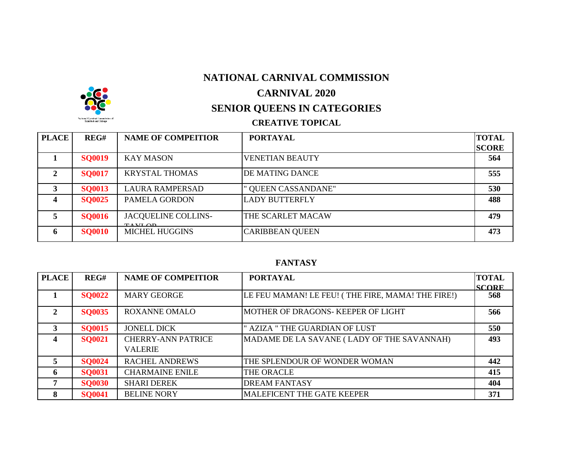## **NATIONAL CARNIVAL COMMISSION**



## **CARNIVAL 2020**

# **SENIOR QUEENS IN CATEGORIES**

### **CREATIVE TOPICAL**

| <b>PLACE</b> | REG#          | <b>NAME OF COMPEITIOR</b>               | <b>PORTAYAL</b>        | <b>TOTAL</b> |
|--------------|---------------|-----------------------------------------|------------------------|--------------|
|              |               |                                         |                        | <b>SCORE</b> |
|              | <b>SO0019</b> | <b>KAY MASON</b>                        | <b>VENETIAN BEAUTY</b> | 564          |
| 2            | <b>SQ0017</b> | <b>KRYSTAL THOMAS</b>                   | DE MATING DANCE        | 555          |
| 3            | <b>SO0013</b> | <b>LAURA RAMPERSAD</b>                  | " QUEEN CASSANDANE"    | 530          |
|              | <b>SO0025</b> | PAMELA GORDON                           | <b>LADY BUTTERFLY</b>  | 488          |
|              | <b>SQ0016</b> | <b>JACQUELINE COLLINS-</b><br>$TAYL$ OD | THE SCARLET MACAW      | 479          |
| 6            | <b>SO0010</b> | <b>MICHEL HUGGINS</b>                   | <b>CARIBBEAN QUEEN</b> | 473          |

#### **FANTASY**

| <b>PLACE</b>            | REG#          | <b>NAME OF COMPEITIOR</b>                   | <b>PORTAYAL</b>                                   | <b>TOTAL</b><br><b>SCORE</b> |
|-------------------------|---------------|---------------------------------------------|---------------------------------------------------|------------------------------|
|                         | <b>SO0022</b> | <b>MARY GEORGE</b>                          | LE FEU MAMAN! LE FEU! (THE FIRE, MAMA! THE FIRE!) | 568                          |
| $\mathbf{2}$            | <b>SQ0035</b> | <b>ROXANNE OMALO</b>                        | MOTHER OF DRAGONS-KEEPER OF LIGHT                 | 566                          |
| 3                       | <b>SO0015</b> | <b>JONELL DICK</b>                          | <b>AZIZA " THE GUARDIAN OF LUST</b>               | 550                          |
| $\overline{\mathbf{4}}$ | <b>SQ0021</b> | <b>CHERRY-ANN PATRICE</b><br><b>VALERIE</b> | MADAME DE LA SAVANE (LADY OF THE SAVANNAH)        | 493                          |
| $\overline{5}$          | <b>SQ0024</b> | <b>RACHEL ANDREWS</b>                       | THE SPLENDOUR OF WONDER WOMAN                     | 442                          |
| -6                      | <b>SQ0031</b> | <b>CHARMAINE ENILE</b>                      | THE ORACLE                                        | 415                          |
| 7                       | <b>SO0030</b> | <b>SHARI DEREK</b>                          | <b>DREAM FANTASY</b>                              | 404                          |
| 8                       | <b>SO0041</b> | <b>BELINE NORY</b>                          | <b>MALEFICENT THE GATE KEEPER</b>                 | 371                          |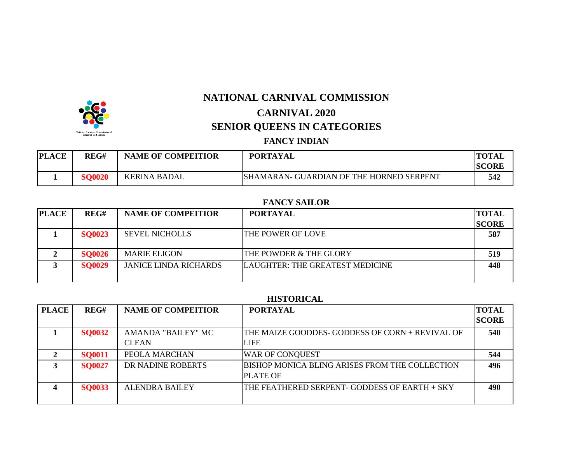

**NATIONAL CARNIVAL COMMISSION**

# **CARNIVAL 2020 SENIOR QUEENS IN CATEGORIES**

### **FANCY INDIAN**

| <b>PLACE</b> | REG#          | <b>NAME OF COMPEITIOR</b> | <b>PORTAYAL</b>                                 | <b>TOTAL</b> |
|--------------|---------------|---------------------------|-------------------------------------------------|--------------|
|              |               |                           |                                                 | <b>SCORF</b> |
|              | <b>SO0020</b> | <b>KERINA BADAL</b>       | <b>SHAMARAN- GUARDIAN OF THE HORNED SERPENT</b> | 542          |

### **FANCY SAILOR**

| <b>PLACE</b> | REG#          | <b>NAME OF COMPEITIOR</b>    | <b>PORTAYAL</b>                 | <b>TOTAL</b> |
|--------------|---------------|------------------------------|---------------------------------|--------------|
|              |               |                              |                                 | <b>SCORE</b> |
|              | <b>SO0023</b> | <b>SEVEL NICHOLLS</b>        | THE POWER OF LOVE               | 587          |
|              |               |                              |                                 |              |
|              | <b>SO0026</b> | <b>MARIE ELIGON</b>          | THE POWDER & THE GLORY          | 519          |
|              | <b>SO0029</b> | <b>JANICE LINDA RICHARDS</b> | LAUGHTER: THE GREATEST MEDICINE | 448          |
|              |               |                              |                                 |              |

#### **HISTORICAL**

| <b>PLACE</b> | REG#          | <b>NAME OF COMPEITIOR</b>          | <b>PORTAYAL</b>                                                    | <b>TOTAL</b><br><b>SCORE</b> |
|--------------|---------------|------------------------------------|--------------------------------------------------------------------|------------------------------|
|              | <b>SQ0032</b> | AMANDA "BAILEY" MC<br><b>CLEAN</b> | THE MAIZE GOODDES- GODDESS OF CORN + REVIVAL OF<br>LIFE            | 540                          |
|              | <b>SQ0011</b> | PEOLA MARCHAN                      | <b>WAR OF CONQUEST</b>                                             | 544                          |
|              | <b>SQ0027</b> | DR NADINE ROBERTS                  | IBISHOP MONICA BLING ARISES FROM THE COLLECTION<br><b>PLATE OF</b> | 496                          |
|              | <b>SQ0033</b> | <b>ALENDRA BAILEY</b>              | THE FEATHERED SERPENT-GODDESS OF EARTH + SKY                       | 490                          |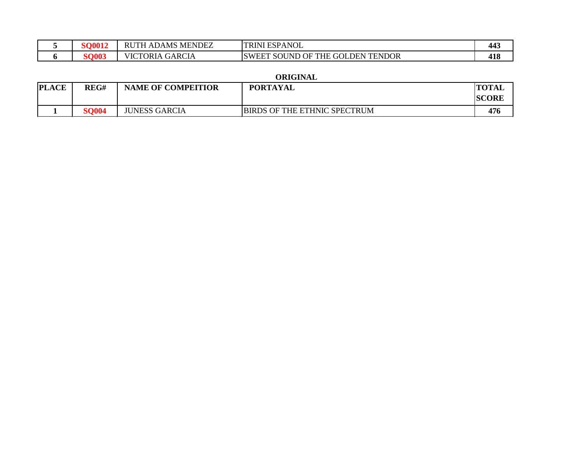| <b>COM1</b> | <b>ADAMS MENDEZ</b><br><b>RUTH</b> | <b>ESPANOL</b><br><b>TRINI</b>                         | 443 |
|-------------|------------------------------------|--------------------------------------------------------|-----|
| <u>avvv</u> | <b>GARCIA</b><br>VICTORIA          | <b>GOLDEN TENDOR</b><br><b>SWEET</b><br>' SOUND OF THE | 418 |

#### **ORIGINAL**

| <b>'LACE</b><br> PL | REG#         | <b>NAME OF COMPEITIOR</b> | <b>PORTAYAL</b>                     | <b>TOTAL</b><br><b>SCORE</b> |
|---------------------|--------------|---------------------------|-------------------------------------|------------------------------|
|                     | <b>SO004</b> | <b>JUNESS GARCIA</b>      | <b>BIRDS OF THE ETHNIC SPECTRUM</b> | 476                          |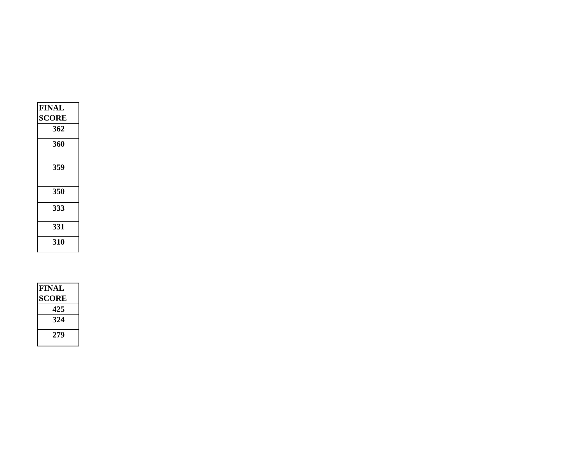| <b>FINAL</b> |  |
|--------------|--|
| <b>SCORE</b> |  |
| 362          |  |
| 360          |  |
| 359          |  |
| 350          |  |
| 333          |  |
| 331          |  |
| 310          |  |

| <b>FINAL</b> |
|--------------|
| SCORE        |
| 425          |
| 324          |
| 279          |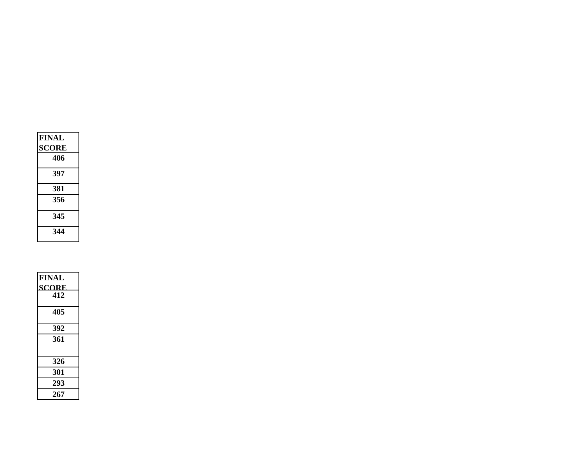| <b>FINAL</b><br><b>SCORE</b><br>406 |
|-------------------------------------|
| 397                                 |
| 381                                 |
| 356                                 |
| 345                                 |
| 344                                 |

| <b>FINAL</b><br><b>SCORE</b><br>412 |
|-------------------------------------|
| 405                                 |
| 392                                 |
| 361                                 |
| 326                                 |
| 301                                 |
| 293                                 |
| 267                                 |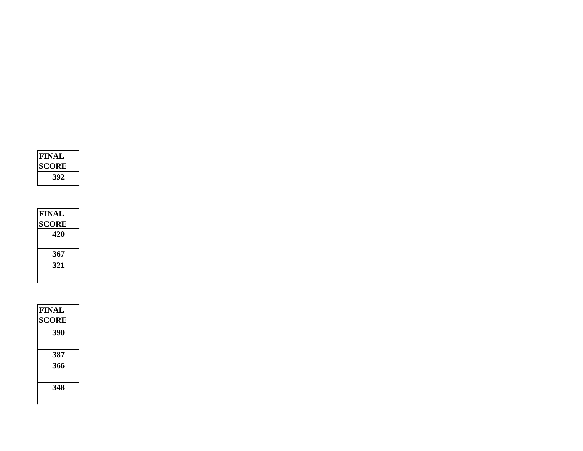

| <b>FINAL</b> |
|--------------|
| <b>SCORE</b> |
| 420          |
|              |
| 367          |
| 321          |
|              |

| <b>FINAL</b> |  |
|--------------|--|
| <b>SCORE</b> |  |
| 390          |  |
|              |  |
| 387          |  |
| 366          |  |
|              |  |
| 348          |  |
|              |  |